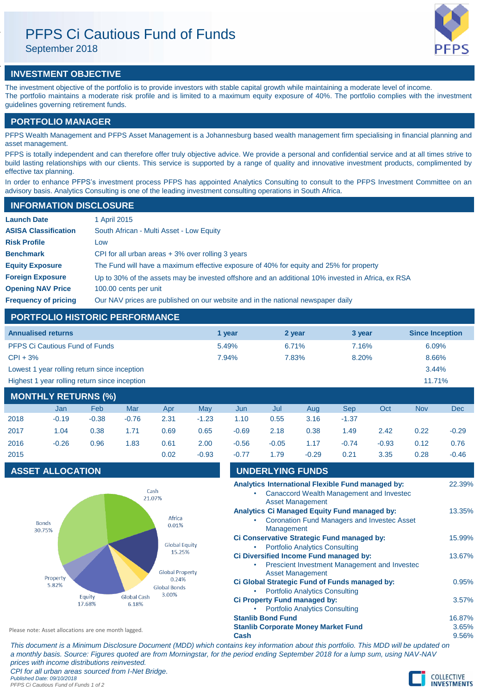# PFPS Ci Cautious Fund of Funds

September 2018

## **INVESTMENT OBJECTIVE**

The investment objective of the portfolio is to provide investors with stable capital growth while maintaining a moderate level of income. The portfolio maintains a moderate risk profile and is limited to a maximum equity exposure of 40%. The portfolio complies with the investment guidelines governing retirement funds.

### **PORTFOLIO MANAGER**

PFPS Wealth Management and PFPS Asset Management is a Johannesburg based wealth management firm specialising in financial planning and asset management.

PFPS is totally independent and can therefore offer truly objective advice. We provide a personal and confidential service and at all times strive to build lasting relationships with our clients. This service is supported by a range of quality and innovative investment products, complimented by effective tax planning.

In order to enhance PFPS's investment process PFPS has appointed Analytics Consulting to consult to the PFPS Investment Committee on an advisory basis. Analytics Consulting is one of the leading investment consulting operations in South Africa.

### **INFORMATION DISCLOSURE**

| <b>Launch Date</b>          | 1 April 2015                                                                                      |  |  |
|-----------------------------|---------------------------------------------------------------------------------------------------|--|--|
| <b>ASISA Classification</b> | South African - Multi Asset - Low Equity                                                          |  |  |
| <b>Risk Profile</b>         | Low                                                                                               |  |  |
| <b>Benchmark</b>            | CPI for all urban areas $+3\%$ over rolling 3 years                                               |  |  |
| <b>Equity Exposure</b>      | The Fund will have a maximum effective exposure of 40% for equity and 25% for property            |  |  |
| <b>Foreign Exposure</b>     | Up to 30% of the assets may be invested offshore and an additional 10% invested in Africa, ex RSA |  |  |
| <b>Opening NAV Price</b>    | 100.00 cents per unit                                                                             |  |  |
| <b>Frequency of pricing</b> | Our NAV prices are published on our website and in the national newspaper daily                   |  |  |

### **PORTFOLIO HISTORIC PERFORMANCE**

| <b>Annualised returns</b>                     | 1 vear | 2 year | 3 year | <b>Since Inception</b> |
|-----------------------------------------------|--------|--------|--------|------------------------|
| <b>PFPS Ci Cautious Fund of Funds</b>         | 5.49%  | 6.71%  | 7.16%  | 6.09%                  |
| $CPI + 3%$                                    | 7.94%  | 7.83%  | 8.20%  | 8.66%                  |
| Lowest 1 year rolling return since inception  |        |        |        | 3.44%                  |
| Highest 1 year rolling return since inception |        |        |        | $11.71\%$              |
|                                               |        |        |        |                        |

## **MONTHLY RETURNS (%)** Jan Feb Mar Apr May Jun Jul Aug Sep Oct Nov Dec 2018 -0.19 -0.38 -0.76 2.31 -1.23 1.10 0.55 3.16 -1.37 2017 1.04 0.38 1.71 0.69 0.65 -0.69 2.18 0.38 1.49 2.42 0.22 -0.29 2016 -0.26 0.96 1.83 0.61 2.00 -0.56 -0.05 1.17 -0.74 -0.93 0.12 0.76 2015 0.02 -0.93 -0.77 1.79 -0.29 0.21 3.35 0.28 -0.46

### **ASSET ALLOCATION**



| $-0.77$                                                                                                                         | 1.79                     | -0.29                                                                                  | 0.21 | 3.35   | 0.28   | $-0.46$                  |
|---------------------------------------------------------------------------------------------------------------------------------|--------------------------|----------------------------------------------------------------------------------------|------|--------|--------|--------------------------|
|                                                                                                                                 |                          | <b>UNDERLYING FUNDS</b>                                                                |      |        |        |                          |
| Analytics International Flexible Fund managed by:<br><b>Canaccord Wealth Management and Investec</b><br><b>Asset Management</b> |                          |                                                                                        |      |        |        | 22.39%                   |
| <b>Analytics Ci Managed Equity Fund managed by:</b><br><b>Coronation Fund Managers and Investec Asset</b><br>Management         |                          |                                                                                        |      |        | 13.35% |                          |
| Ci Conservative Strategic Fund managed by:<br><b>Portfolio Analytics Consulting</b>                                             |                          |                                                                                        |      |        | 15.99% |                          |
| Ci Diversified Income Fund managed by:<br><b>Prescient Investment Management and Investec</b><br><b>Asset Management</b>        |                          |                                                                                        |      | 13.67% |        |                          |
|                                                                                                                                 |                          | Ci Global Strategic Fund of Funds managed by:<br><b>Portfolio Analytics Consulting</b> |      |        |        | 0.95%                    |
|                                                                                                                                 |                          | Ci Property Fund managed by:<br><b>Portfolio Analytics Consulting</b>                  |      |        |        | 3.57%                    |
| Cash                                                                                                                            | <b>Stanlib Bond Fund</b> | <b>Stanlib Corporate Money Market Fund</b>                                             |      |        |        | 16.87%<br>3.65%<br>9.56% |

Please note: Asset allocations are one month lagged.

*This document is a Minimum Disclosure Document (MDD) which contains key information about this portfolio. This MDD will be updated on a monthly basis. Source: Figures quoted are from Morningstar, for the period ending September 2018 for a lump sum, using NAV-NAV prices with income distributions reinvested. CPI for all urban areas sourced from I-Net Bridge. Published Date: 09/10/2018 PFPS Ci Cautious Fund of Funds 1 of 2*